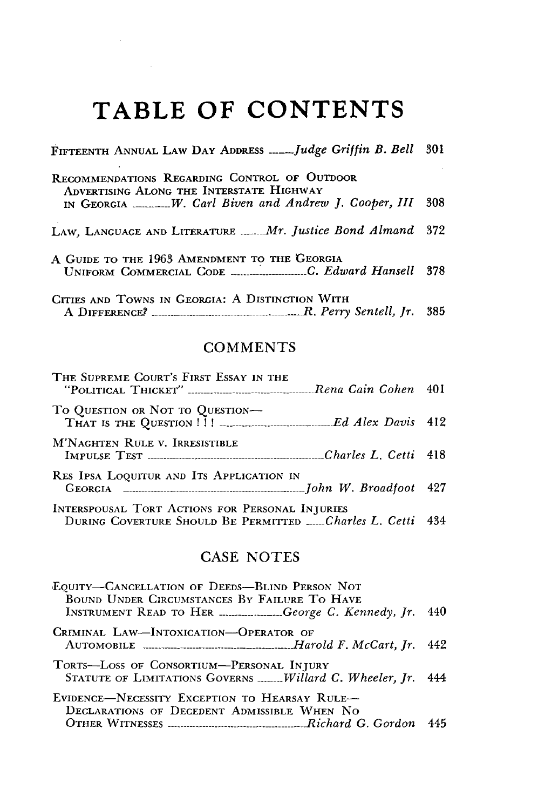## **TABLE OF CONTENTS**

| FIFTEENTH ANNUAL LAW DAY ADDRESS Judge Griffin B. Bell                                                                                                |      |  |  |  |
|-------------------------------------------------------------------------------------------------------------------------------------------------------|------|--|--|--|
| RECOMMENDATIONS REGARDING CONTROL OF OUTDOOR<br>ADVERTISING ALONG THE INTERSTATE HIGHWAY<br>IN GEORGIA _______W. Carl Biven and Andrew J. Cooper, III | -308 |  |  |  |
| LAW, LANGUAGE AND LITERATURE Mr. Justice Bond Almand 372                                                                                              |      |  |  |  |
| A GUIDE TO THE 1963 AMENDMENT TO THE GEORGIA<br>UNIFORM COMMERCIAL CODE _________________C. Edward Hansell 378                                        |      |  |  |  |
| CITIES AND TOWNS IN GEORGIA: A DISTINCTION WITH                                                                                                       |      |  |  |  |

## **COMMENTS**

| THE SUPREME COURT'S FIRST ESSAY IN THE                                                                            |  |
|-------------------------------------------------------------------------------------------------------------------|--|
| To QUESTION OR NOT TO QUESTION-<br>THAT IS THE QUESTION !!! _______________________Ed Alex Davis 412              |  |
| M'NAGHTEN RULE V. IRRESISTIBLE                                                                                    |  |
| RES IPSA LOQUITUR AND ITS APPLICATION IN                                                                          |  |
| INTERSPOUSAL TORT ACTIONS FOR PERSONAL INJURIES<br>DURING COVERTURE SHOULD BE PERMITTED ____ Charles L. Cetti 434 |  |

## CASE NOTES

| EQUITY-CANCELLATION OF DEEDS-BLIND PERSON NOT<br>BOUND UNDER CIRCUMSTANCES BY FAILURE TO HAVE           |  |
|---------------------------------------------------------------------------------------------------------|--|
| INSTRUMENT READ TO HER George C. Kennedy, Jr. 440                                                       |  |
| CRIMINAL LAW-INTOXICATION-OPERATOR OF                                                                   |  |
|                                                                                                         |  |
| TORTS-LOSS OF CONSORTIUM-PERSONAL INJURY<br>STATUTE OF LIMITATIONS GOVERNS  Willard C. Wheeler, Jr. 444 |  |
| EVIDENCE-NECESSITY EXCEPTION TO HEARSAY RULE-                                                           |  |
| DECLARATIONS OF DECEDENT ADMISSIBLE WHEN NO                                                             |  |
|                                                                                                         |  |